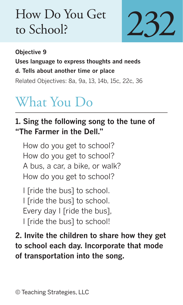## How Do You Get to School?



**Objective 9 Uses language to express thoughts and needs d. Tells about another time or place** Related Objectives: 8a, 9a, 13, 14b, 15c, 22c, 36

## What You Do

## **1. Sing the following song to the tune of "The Farmer in the Dell."**

How do you get to school? How do you get to school? A bus, a car, a bike, or walk? How do you get to school?

I [ride the bus] to school. I [ride the bus] to school. Every day I [ride the bus], I [ride the bus] to school!

**2. Invite the children to share how they get to school each day. Incorporate that mode of transportation into the song.**